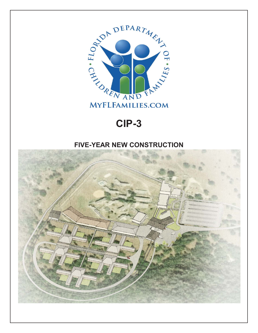

## **CIP-3**

## **FIVE-YEAR NEW CONSTRUCTION**

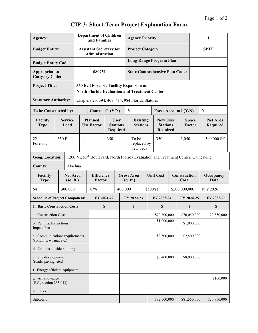| Agency:                                                    |                              |  | <b>Department of Children</b><br>and Families                                                  |                                                                                    |                                                   |                                | <b>Agency Priority:</b>               |                  |                                                       |                      |                        | 1            |                             |  |
|------------------------------------------------------------|------------------------------|--|------------------------------------------------------------------------------------------------|------------------------------------------------------------------------------------|---------------------------------------------------|--------------------------------|---------------------------------------|------------------|-------------------------------------------------------|----------------------|------------------------|--------------|-----------------------------|--|
| <b>Budget Entity:</b>                                      |                              |  | <b>Assistant Secretary for</b><br>Administration                                               |                                                                                    |                                                   |                                | <b>Project Category:</b>              |                  |                                                       |                      |                        | <b>SPTF</b>  |                             |  |
| <b>Budget Entity Code:</b>                                 |                              |  |                                                                                                |                                                                                    |                                                   |                                | <b>Long-Range Program Plan:</b>       |                  |                                                       |                      |                        |              |                             |  |
| Appropriation<br><b>Category Code:</b>                     |                              |  | 080751                                                                                         |                                                                                    |                                                   |                                | <b>State Comprehensive Plan Code:</b> |                  |                                                       |                      |                        |              |                             |  |
| <b>Project Title:</b>                                      |                              |  | 350 Bed Forensic Facility Expansion at<br><b>North Florida Evaluation and Treatment Center</b> |                                                                                    |                                                   |                                |                                       |                  |                                                       |                      |                        |              |                             |  |
| <b>Statutory Authority:</b>                                |                              |  | Chapters 20, 394, 409, 414, 984 Florida Statutes                                               |                                                                                    |                                                   |                                |                                       |                  |                                                       |                      |                        |              |                             |  |
| To be Constructed by:                                      |                              |  | Contract? (Y/N)                                                                                |                                                                                    |                                                   |                                | Y                                     |                  | Force Account? (Y/N)                                  |                      |                        |              | ${\bf N}$                   |  |
| Facility<br><b>Type</b>                                    | <b>Service</b><br>Load       |  | <b>Planned</b><br><b>Use Factor</b>                                                            |                                                                                    | <b>User</b><br><b>Stations</b><br><b>Required</b> |                                | <b>Existing</b><br><b>Stations</b>    |                  | <b>New User</b><br><b>Stations</b><br><b>Required</b> |                      | <b>Space</b><br>Factor |              | <b>Net Area</b><br>Required |  |
| 22<br>Forensic                                             | 350 Beds                     |  | 1                                                                                              |                                                                                    | 350                                               |                                | To be<br>replaced by<br>new beds      |                  | 350                                                   |                      | 1,050                  |              | 300,000 SF                  |  |
| <b>Geog. Location:</b>                                     |                              |  |                                                                                                | 1200 NE 55th Boulevard, North Florida Evaluation and Treatment Center, Gainesville |                                                   |                                |                                       |                  |                                                       |                      |                        |              |                             |  |
| Alachua<br>County:                                         |                              |  |                                                                                                |                                                                                    |                                                   |                                |                                       |                  |                                                       |                      |                        |              |                             |  |
| Facility<br><b>Type</b>                                    | <b>Net Area</b><br>(sq. ft.) |  |                                                                                                | <b>Efficiency</b><br>Factor                                                        |                                                   | <b>Gross Area</b><br>(sq. ft.) |                                       | <b>Unit Cost</b> |                                                       | Construction<br>Cost |                        |              | Occupancy<br>Date           |  |
| 64                                                         | 300,000                      |  |                                                                                                | 75%                                                                                |                                                   |                                | 400,000                               |                  | \$500/sf                                              |                      | \$200,000,000          |              | <b>July 2026</b>            |  |
| <b>Schedule of Project Components</b>                      |                              |  |                                                                                                | FY 2021-22                                                                         |                                                   |                                | FY 2022-23                            |                  | FY 2023-24                                            |                      | FY 2024-25             |              | FY 2025-26                  |  |
| 1. Basic Construction Costs                                |                              |  | \$                                                                                             |                                                                                    |                                                   |                                | \$                                    |                  | \$                                                    |                      | \$                     |              | \$                          |  |
| a. Construction Costs                                      |                              |  |                                                                                                |                                                                                    |                                                   |                                |                                       |                  | \$70,600,000                                          |                      | \$70,050,000           |              | 20,850,000                  |  |
| b. Permits, Inspections,<br><b>Impact Fees</b>             |                              |  |                                                                                                |                                                                                    |                                                   |                                |                                       | \$1,000,000      |                                                       | \$1,000,000          |                        |              |                             |  |
| c. Communications requirements<br>(conduits, wiring, etc.) |                              |  |                                                                                                |                                                                                    |                                                   |                                |                                       | \$2,500,000      |                                                       | \$2,500,000          |                        |              |                             |  |
| d. Utilities outside building                              |                              |  |                                                                                                |                                                                                    |                                                   |                                |                                       |                  |                                                       |                      |                        |              |                             |  |
| e. Site development<br>(roads, paving, etc.)               |                              |  |                                                                                                |                                                                                    |                                                   |                                |                                       | \$8,400,000      |                                                       | \$8,000,000          |                        |              |                             |  |
| f. Energy efficient equipment                              |                              |  |                                                                                                |                                                                                    |                                                   |                                |                                       |                  |                                                       |                      |                        |              |                             |  |
| g. Art allowance<br>(F.S., section 255.043)                |                              |  |                                                                                                |                                                                                    |                                                   |                                |                                       |                  |                                                       |                      |                        | \$100,000    |                             |  |
| h. Other                                                   |                              |  |                                                                                                |                                                                                    |                                                   |                                |                                       |                  |                                                       |                      |                        |              |                             |  |
| Subtotals                                                  |                              |  |                                                                                                |                                                                                    |                                                   |                                |                                       |                  | \$82,500,000                                          |                      |                        | \$81,550,000 | \$20,950,000                |  |

## **CIP-3: Short-Term Project Explanation Form**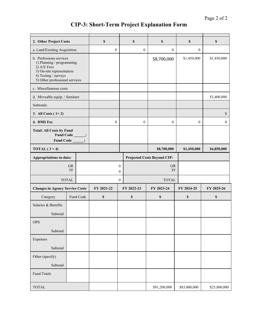## **CIP-3: Short-Term Project Explanation Form**

| 2. Other Project Costs                                                                                                                                     |           | $\boldsymbol{\mathsf{S}}$ |                           | $\boldsymbol{\mathsf{S}}$    |                  | \$               | \$                                 | \$                        |                  |  |
|------------------------------------------------------------------------------------------------------------------------------------------------------------|-----------|---------------------------|---------------------------|------------------------------|------------------|------------------|------------------------------------|---------------------------|------------------|--|
| a. Land/Existing Acquisition                                                                                                                               |           | $\boldsymbol{0}$          |                           | $\boldsymbol{0}$             |                  | $\boldsymbol{0}$ | 0                                  |                           |                  |  |
| b. Professions services<br>1) Planning / programming<br>2) A/E Fees<br>3) On-site representation<br>4) Testing / surveys<br>5) Other professional services |           |                           |                           |                              |                  | \$8,700,000      | \$1,450,000                        | \$1,450,000               |                  |  |
| c. Miscellaneous costs                                                                                                                                     |           |                           |                           |                              |                  |                  |                                    |                           |                  |  |
| d. Moveable equip. / furniture                                                                                                                             |           |                           |                           |                              |                  |                  |                                    | \$3,400,000               |                  |  |
| Subtotals                                                                                                                                                  |           |                           |                           |                              |                  |                  |                                    |                           |                  |  |
| 3. All Costs $(1+2)$                                                                                                                                       |           |                           |                           |                              |                  |                  |                                    |                           | $\mathbb{S}$     |  |
| 4. DMS Fee                                                                                                                                                 |           |                           | $\boldsymbol{0}$          |                              | $\boldsymbol{0}$ |                  | $\boldsymbol{0}$                   | $\boldsymbol{0}$          | $\boldsymbol{0}$ |  |
| <b>Total: All Costs by Fund</b><br>Fund Code ______:<br>Fund Code _______:                                                                                 |           |                           |                           |                              |                  |                  |                                    |                           |                  |  |
| TOTAL $(3+4)$                                                                                                                                              |           |                           |                           |                              |                  |                  | \$8,700,000                        | \$1,450,000               | \$4,850,000      |  |
| <b>Appropriations to-date:</b>                                                                                                                             |           |                           |                           |                              |                  |                  | <b>Projected Costs Beyond CIP:</b> |                           |                  |  |
| <b>GR</b><br>TF                                                                                                                                            |           |                           |                           | $\mathbf{0}$<br>$\mathbf{0}$ | <b>GR</b><br>TF  |                  |                                    |                           |                  |  |
| <b>TOTAL</b>                                                                                                                                               |           |                           |                           | $\boldsymbol{0}$             |                  |                  | <b>TOTAL</b>                       |                           |                  |  |
| <b>Changes in Agency Service Costs</b>                                                                                                                     |           |                           | FY 2021-22                |                              | FY 2022-23       |                  | FY 2023-24                         | FY 2024-25                | FY 2025-26       |  |
| Category                                                                                                                                                   | Fund Code |                           | $\boldsymbol{\mathsf{S}}$ |                              | \$               |                  | $\boldsymbol{\mathsf{S}}$          | $\boldsymbol{\mathsf{S}}$ | \$               |  |
| Salaries & Benefits                                                                                                                                        |           |                           |                           |                              |                  |                  |                                    |                           |                  |  |
| Subtotal                                                                                                                                                   |           |                           |                           |                              |                  |                  |                                    |                           |                  |  |
| OPS                                                                                                                                                        |           |                           |                           |                              |                  |                  |                                    |                           |                  |  |
| Subtotal                                                                                                                                                   |           |                           |                           |                              |                  |                  |                                    |                           |                  |  |
| Expenses                                                                                                                                                   |           |                           |                           |                              |                  |                  |                                    |                           |                  |  |
| Subtotal                                                                                                                                                   |           |                           |                           |                              |                  |                  |                                    |                           |                  |  |
| Other (specify)                                                                                                                                            |           |                           |                           |                              |                  |                  |                                    |                           |                  |  |
| Subtotal                                                                                                                                                   |           |                           |                           |                              |                  |                  |                                    |                           |                  |  |
| Fund Totals                                                                                                                                                |           |                           |                           |                              |                  |                  |                                    |                           |                  |  |
| <b>TOTAL</b>                                                                                                                                               |           |                           |                           |                              |                  |                  | \$91,200,000                       | \$83,000,000              | \$25,800,000     |  |